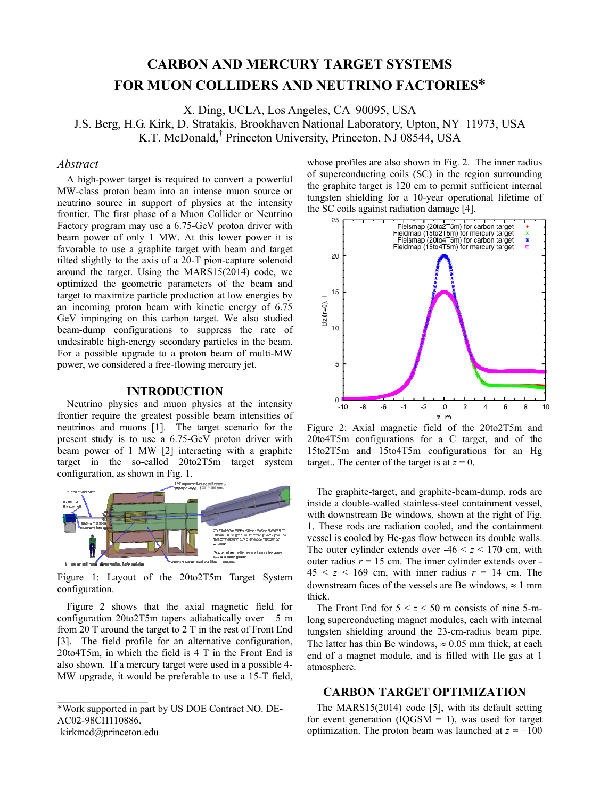# **CARBON AND MERCURY TARGET SYSTEMS FOR MUON COLLIDERS AND NEUTRINO FACTORIES\***

X. Ding, UCLA, Los Angeles, CA 90095, USA

J.S. Berg, H.G. Kirk, D. Stratakis, Brookhaven National Laboratory, Upton, NY 11973, USA

K.T. McDonald,† Princeton University, Princeton, NJ 08544, USA

### *Abstract*

A high-power target is required to convert a powerful MW-class proton beam into an intense muon source or neutrino source in support of physics at the intensity frontier. The first phase of a Muon Collider or Neutrino Factory program may use a 6.75-GeV proton driver with beam power of only 1 MW. At this lower power it is favorable to use a graphite target with beam and target tilted slightly to the axis of a 20-T pion-capture solenoid around the target. Using the MARS15(2014) code, we optimized the geometric parameters of the beam and target to maximize particle production at low energies by an incoming proton beam with kinetic energy of 6.75 GeV impinging on this carbon target. We also studied beam-dump configurations to suppress the rate of undesirable high-energy secondary particles in the beam. For a possible upgrade to a proton beam of multi-MW power, we considered a free-flowing mercury jet.

#### **INTRODUCTION**

Neutrino physics and muon physics at the intensity frontier require the greatest possible beam intensities of neutrinos and muons [1]. The target scenario for the present study is to use a 6.75-GeV proton driver with beam power of 1 MW [2] interacting with a graphite target in the so-called 20to2T5m target system configuration, as shown in Fig. 1.



Figure 1: Layout of the 20to2T5m Target System configuration.

Figure 2 shows that the axial magnetic field for configuration 20to2T5m tapers adiabatically over 5 m from 20 T around the target to 2 T in the rest of Front End [3]. The field profile for an alternative configuration, 20to4T5m, in which the field is 4 T in the Front End is also shown. If a mercury target were used in a possible 4- MW upgrade, it would be preferable to use a 15-T field,

\*Work supported in part by US DOE Contract NO. DE-AC02-98CH110886. † kirkmcd@princeton.edu

whose profiles are also shown in Fig. 2. The inner radius of superconducting coils (SC) in the region surrounding the graphite target is 120 cm to permit sufficient internal tungsten shielding for a 10-year operational lifetime of the SC coils against radiation damage [4].



Figure 2: Axial magnetic field of the 20to2T5m and 20to4T5m configurations for a C target, and of the 15to2T5m and 15to4T5m configurations for an Hg target.. The center of the target is at  $z = 0$ .

The graphite-target, and graphite-beam-dump, rods are inside a double-walled stainless-steel containment vessel, with downstream Be windows, shown at the right of Fig. 1. These rods are radiation cooled, and the containment vessel is cooled by He-gas flow between its double walls. The outer cylinder extends over  $-46 < z < 170$  cm, with outer radius  $r = 15$  cm. The inner cylinder extends over - $45 < z < 169$  cm, with inner radius  $r = 14$  cm. The downstream faces of the vessels are Be windows,  $\approx 1$  mm thick.

The Front End for  $5 < z < 50$  m consists of nine 5-mlong superconducting magnet modules, each with internal tungsten shielding around the 23-cm-radius beam pipe. The latter has thin Be windows,  $\approx 0.05$  mm thick, at each end of a magnet module, and is filled with He gas at 1 atmosphere.

### **CARBON TARGET OPTIMIZATION**

The MARS15(2014) code [5], with its default setting for event generation ( $IQGSM = 1$ ), was used for target optimization. The proton beam was launched at  $z = -100$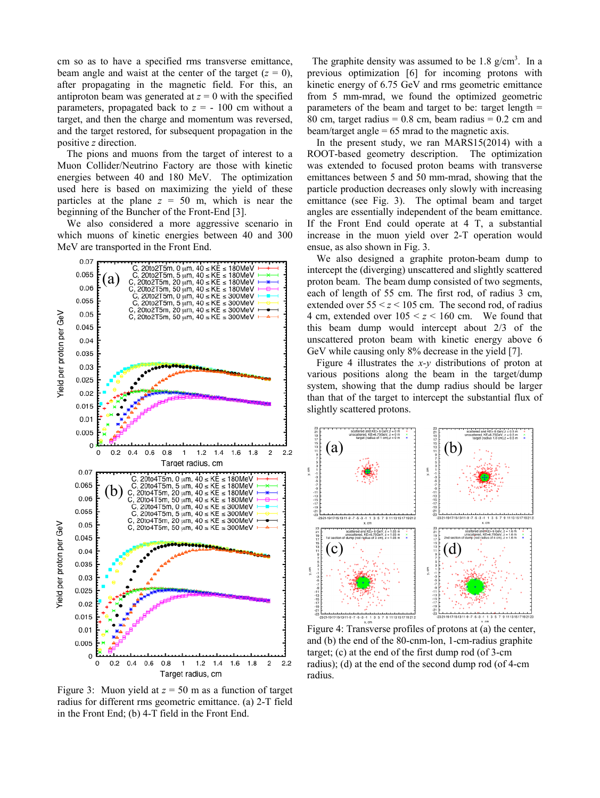cm so as to have a specified rms transverse emittance, beam angle and waist at the center of the target  $(z = 0)$ , after propagating in the magnetic field. For this, an antiproton beam was generated at  $z = 0$  with the specified parameters, propagated back to  $z = -100$  cm without a target, and then the charge and momentum was reversed, and the target restored, for subsequent propagation in the positive *z* direction.

The pions and muons from the target of interest to a Muon Collider/Neutrino Factory are those with kinetic energies between 40 and 180 MeV. The optimization used here is based on maximizing the yield of these particles at the plane  $z = 50$  m, which is near the beginning of the Buncher of the Front-End [3].

We also considered a more aggressive scenario in which muons of kinetic energies between 40 and 300 MeV are transported in the Front End.



Figure 3: Muon yield at *z* = 50 m as a function of target radius for different rms geometric emittance. (a) 2-T field in the Front End; (b) 4-T field in the Front End.

The graphite density was assumed to be  $1.8 \text{ g/cm}^3$ . In a previous optimization [6] for incoming protons with kinetic energy of 6.75 GeV and rms geometric emittance from 5 mm-mrad, we found the optimized geometric parameters of the beam and target to be: target length  $=$ 80 cm, target radius  $= 0.8$  cm, beam radius  $= 0.2$  cm and beam/target angle = 65 mrad to the magnetic axis.

In the present study, we ran MARS15(2014) with a ROOT-based geometry description. The optimization was extended to focused proton beams with transverse emittances between 5 and 50 mm-mrad, showing that the particle production decreases only slowly with increasing emittance (see Fig. 3). The optimal beam and target angles are essentially independent of the beam emittance. If the Front End could operate at 4 T, a substantial increase in the muon yield over 2-T operation would ensue, as also shown in Fig. 3.

We also designed a graphite proton-beam dump to intercept the (diverging) unscattered and slightly scattered proton beam. The beam dump consisted of two segments, each of length of 55 cm. The first rod, of radius 3 cm, extended over  $55 \le z \le 105$  cm. The second rod, of radius 4 cm, extended over  $105 \le z \le 160$  cm. We found that this beam dump would intercept about 2/3 of the unscattered proton beam with kinetic energy above 6 GeV while causing only 8% decrease in the yield [7].

Figure 4 illustrates the *x-y* distributions of proton at various positions along the beam in the target/dump system, showing that the dump radius should be larger than that of the target to intercept the substantial flux of slightly scattered protons.



Figure 4: Transverse profiles of protons at (a) the center, and (b) the end of the 80-cnm-lon, 1-cm-radius graphite target; (c) at the end of the first dump rod (of 3-cm radius); (d) at the end of the second dump rod (of 4-cm radius.